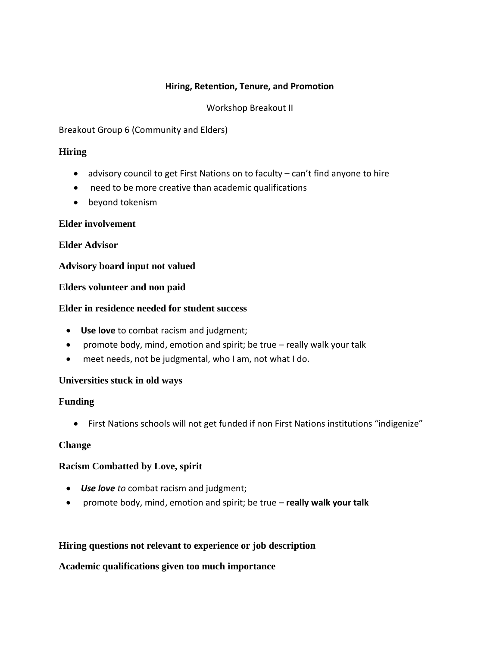### **Hiring, Retention, Tenure, and Promotion**

### Workshop Breakout II

Breakout Group 6 (Community and Elders)

### **Hiring**

- advisory council to get First Nations on to faculty can't find anyone to hire
- need to be more creative than academic qualifications
- beyond tokenism

#### **Elder involvement**

#### **Elder Advisor**

#### **Advisory board input not valued**

#### **Elders volunteer and non paid**

#### **Elder in residence needed for student success**

- **Use love** to combat racism and judgment;
- promote body, mind, emotion and spirit; be true really walk your talk
- meet needs, not be judgmental, who I am, not what I do.

#### **Universities stuck in old ways**

#### **Funding**

First Nations schools will not get funded if non First Nations institutions "indigenize"

#### **Change**

#### **Racism Combatted by Love, spirit**

- *Use love to* combat racism and judgment;
- promote body, mind, emotion and spirit; be true **really walk your talk**

#### **Hiring questions not relevant to experience or job description**

#### **Academic qualifications given too much importance**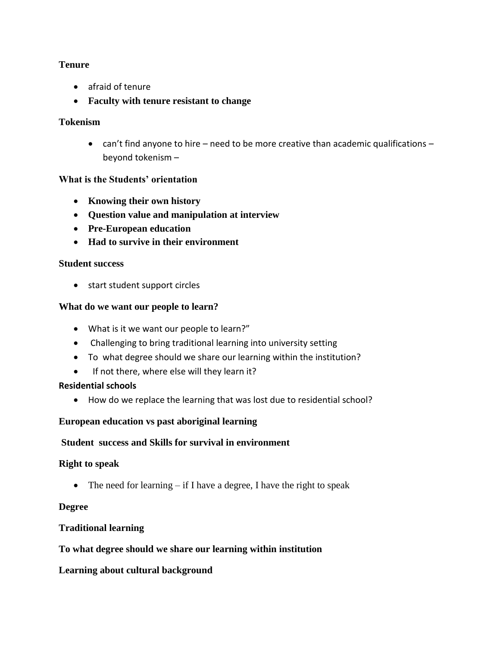### **Tenure**

- afraid of tenure
- **Faculty with tenure resistant to change**

#### **Tokenism**

 can't find anyone to hire – need to be more creative than academic qualifications – beyond tokenism –

### **What is the Students' orientation**

- **Knowing their own history**
- **Question value and manipulation at interview**
- **Pre-European education**
- **Had to survive in their environment**

#### **Student success**

• start student support circles

#### **What do we want our people to learn?**

- What is it we want our people to learn?"
- Challenging to bring traditional learning into university setting
- To what degree should we share our learning within the institution?
- If not there, where else will they learn it?

#### **Residential schools**

How do we replace the learning that was lost due to residential school?

#### **European education vs past aboriginal learning**

#### **Student success and Skills for survival in environment**

#### **Right to speak**

• The need for learning  $-$  if I have a degree, I have the right to speak

#### **Degree**

#### **Traditional learning**

#### **To what degree should we share our learning within institution**

#### **Learning about cultural background**